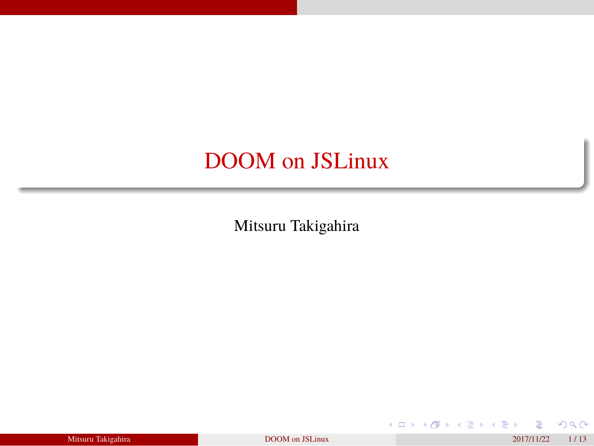### DOOM on JSLinux

Mitsuru Takigahira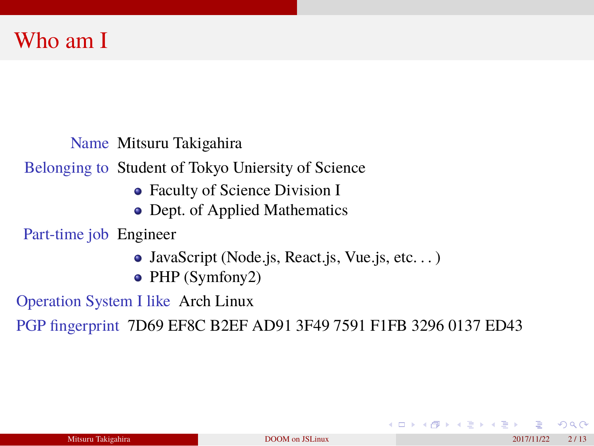#### Who am I

Name Mitsuru Takigahira

Belonging to Student of Tokyo Uniersity of Science

- Faculty of Science Division I
- Dept. of Applied Mathematics

Part-time job Engineer

- JavaScript (Node.js, React.js, Vue.js, etc. . . )
- PHP (Symfony2)

Operation System I like Arch Linux

PGP fingerprint 7D69 EF8C B2EF AD91 3F49 7591 F1FB 3296 0137 ED43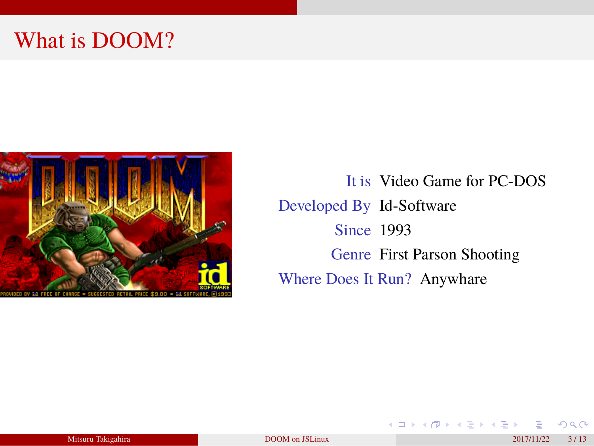# What is DOOM?



It is Video Game for PC-DOS Developed By Id-Software Since 1993 Genre First Parson Shooting Where Does It Run? Anywhare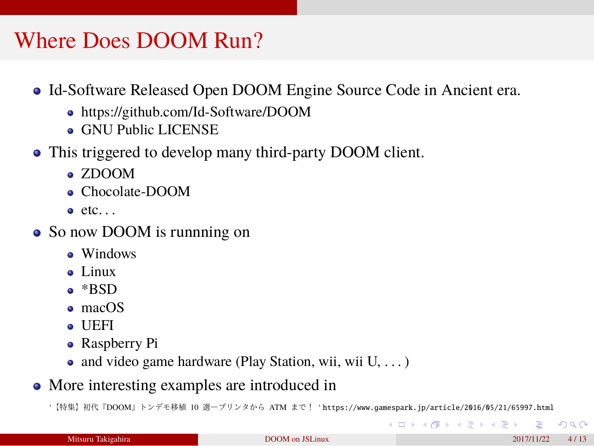#### Where Does DOOM Run?

- Id-Software Released Open DOOM Engine Source Code in Ancient era.
	- https://github.com/Id-Software/DOOM
	- GNU Public LICENSE
- This triggered to develop many third-party DOOM client.
	- ZDOOM
	- Chocolate-DOOM
	- $\bullet$  etc...
- So now DOOM is runnning on
	- Windows
	- Linux
	- \*BSD
	- macOS
	- UEFI
	- Raspberry Pi
	- and video game hardware (Play Station, wii, wii U, . . . )
- More interesting examples are introduced in

'【特集】初代『DOOM』トンデモ移植 10 選―プリンタから ATM まで! ' https://www.gamespark.jp/article/2016/05/21/65997.html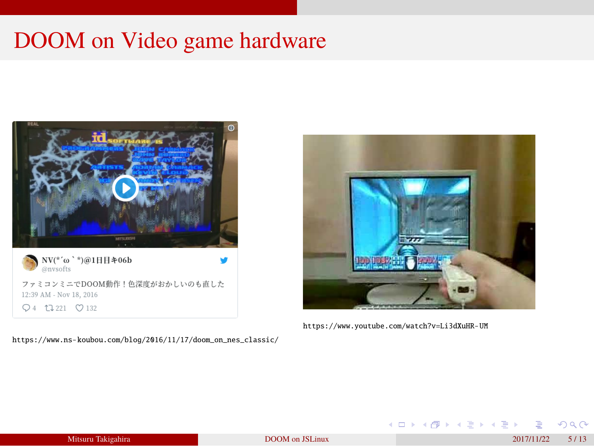# DOOM on Video game hardware



https://www.ns-koubou.com/blog/2016/11/17/doom\_on\_nes\_classic/



https://www.youtube.com/watch?v=Li3dXuHR-UM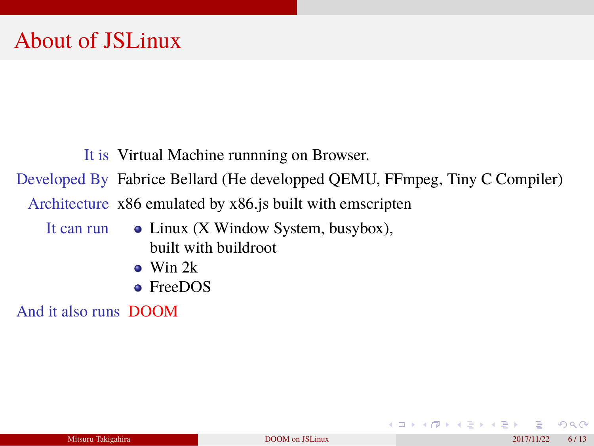### About of JSLinux

It is Virtual Machine runnning on Browser.

Developed By Fabrice Bellard (He developped QEMU, FFmpeg, Tiny C Compiler)

Architecture x86 emulated by x86.js built with emscripten

- It can run Linux (X Window System, busybox),
	- built with buildroot
	- Win 2k
	- FreeDOS

And it also runs DOOM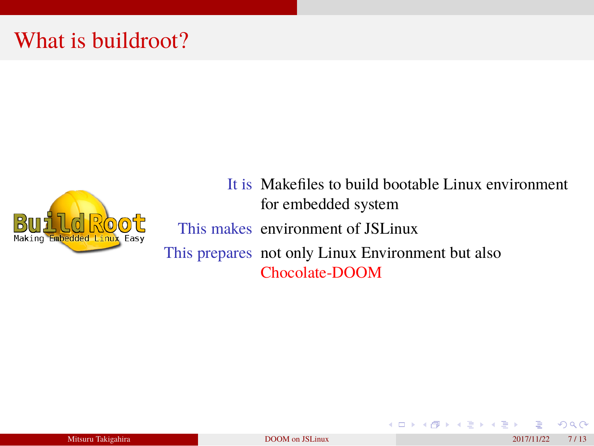# What is buildroot?



It is Makefiles to build bootable Linux environment for embedded system

This makes environment of JSLinux This prepares not only Linux Environment but also Chocolate-DOOM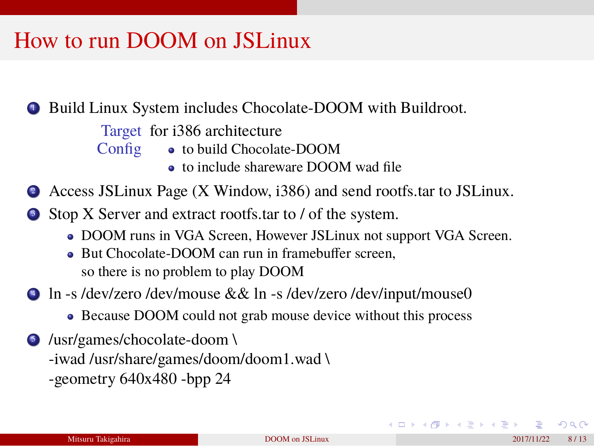#### How to run DOOM on JSLinux

- <sup>1</sup> Build Linux System includes Chocolate-DOOM with Buildroot.
	- Target for i386 architecture
	- Config to build Chocolate-DOOM
		- $\bullet\,$  to include shareware DOOM wad file
- <sup>2</sup> Access JSLinux Page (X Window, i386) and send rootfs.tar to JSLinux.
- <sup>3</sup> Stop X Server and extract rootfs.tar to / of the system.
	- DOOM runs in VGA Screen, However JSLinux not support VGA Screen.
	- But Chocolate-DOOM can run in framebuffer screen, so there is no problem to play DOOM
- <sup>4</sup> ln -s /dev/zero /dev/mouse && ln -s /dev/zero /dev/input/mouse0
	- Because DOOM could not grab mouse device without this process
- <sup>5</sup> /usr/games/chocolate-doom \ -iwad /usr/share/games/doom/doom1.wad \ -geometry 640x480 -bpp 24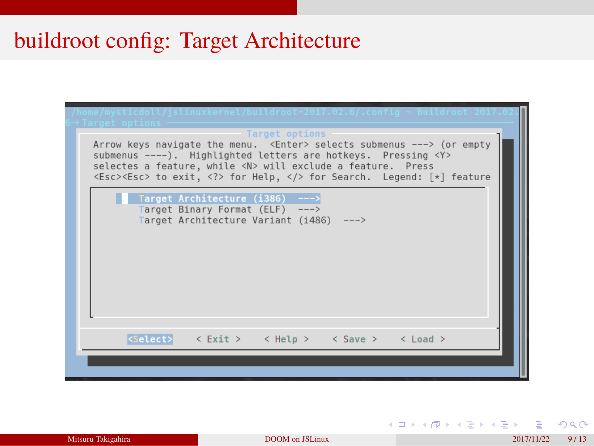# buildroot config: Target Architecture

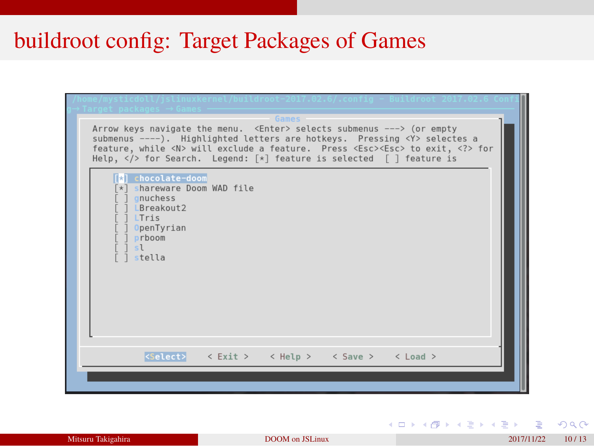# buildroot config: Target Packages of Games

| Target packages $\rightarrow$ Games<br>Games<br>Arrow keys navigate the menu. <enter> selects submenus ---&gt; (or empty<br/>submenus ----). Highlighted letters are hotkeys. Pressing <y> selectes a<br/>feature, while <n> will exclude a feature. Press <esc><esc> to exit, <? > for<br/>Help, <math>\langle \rangle</math> for Search. Legend: <math>\lceil * \rceil</math> feature is selected <math>\lceil \cdot \rceil</math> feature is</esc></esc></n></y></enter> |  |
|-----------------------------------------------------------------------------------------------------------------------------------------------------------------------------------------------------------------------------------------------------------------------------------------------------------------------------------------------------------------------------------------------------------------------------------------------------------------------------|--|
| <b>Fal</b> chocolate-doom<br>*] shareware Doom WAD file<br>qnuchess<br>LBreakout2<br>LTris<br>OpenTyrian<br>prboom<br>sl<br>stella                                                                                                                                                                                                                                                                                                                                          |  |
| $\langle Select\rangle$ < Exit > < Help > < Save > < Load >                                                                                                                                                                                                                                                                                                                                                                                                                 |  |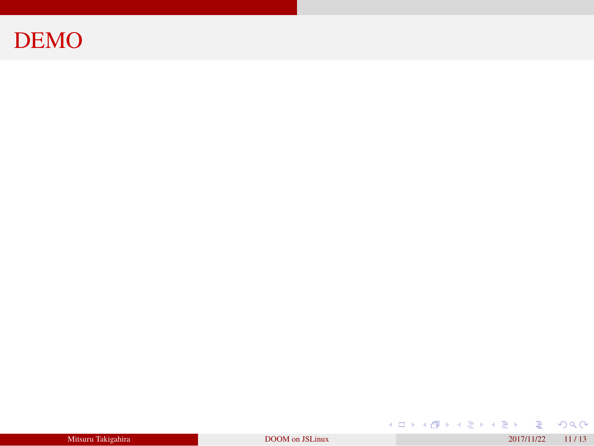### DEMO

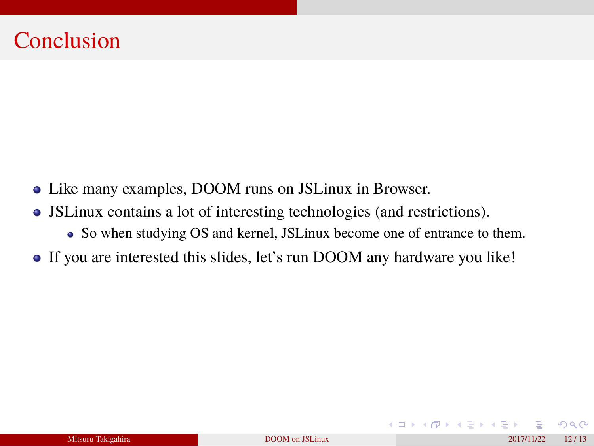#### **Conclusion**

- Like many examples, DOOM runs on JSLinux in Browser.
- JSLinux contains a lot of interesting technologies (and restrictions). So when studying OS and kernel, JSLinux become one of entrance to them.
- If you are interested this slides, let's run DOOM any hardware you like!